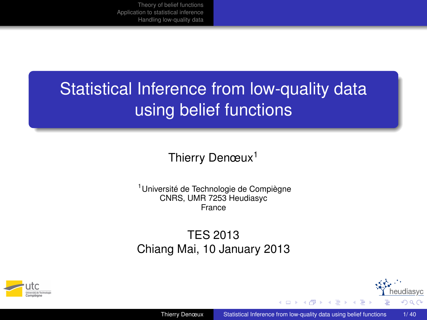# **Statistical Inference from low-quality data** using belief functions

Thierry Denœux<sup>1</sup>

<sup>1</sup>Université de Technologie de Compiègne CNRS, UMR 7253 Heudiasyc France

TES 2013 Chiang Mai, 10 January 2013



<span id="page-0-0"></span>eudiasyc つへへ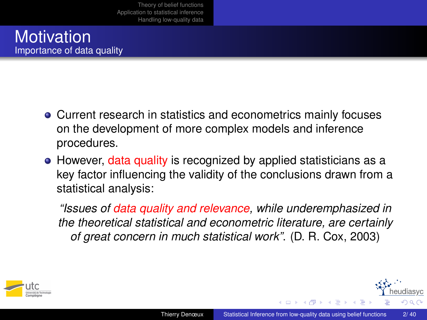#### **Motivation** Importance of data quality

- Current research in statistics and econometrics mainly focuses on the development of more complex models and inference procedures.
- However, data quality is recognized by applied statisticians as a key factor influencing the validity of the conclusions drawn from a statistical analysis:

*"Issues of data quality and relevance, while underemphasized in the theoretical statistical and econometric literature, are certainly of great concern in much statistical work"*. (D. R. Cox, 2003)

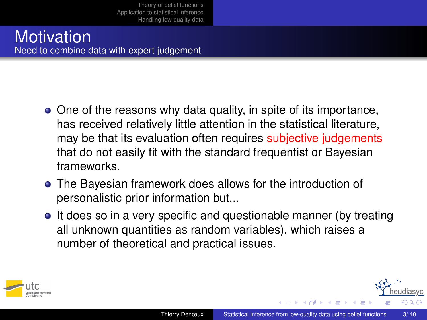#### **Motivation** Need to combine data with expert judgement

- One of the reasons why data quality, in spite of its importance, has received relatively little attention in the statistical literature, may be that its evaluation often requires subjective judgements that do not easily fit with the standard frequentist or Bayesian frameworks.
- The Bayesian framework does allows for the introduction of personalistic prior information but...
- It does so in a very specific and questionable manner (by treating all unknown quantities as random variables), which raises a number of theoretical and practical issues.



- イヨ ト イ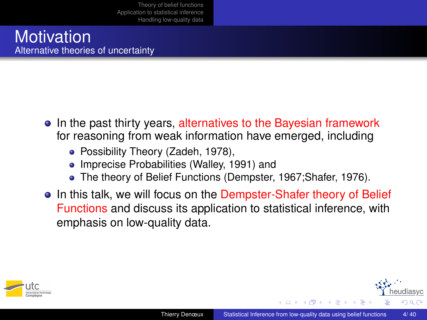#### **Motivation** Alternative theories of uncertainty

- In the past thirty years, alternatives to the Bayesian framework for reasoning from weak information have emerged, including
	- Possibility Theory (Zadeh, 1978),
	- Imprecise Probabilities (Walley, 1991) and
	- The theory of Belief Functions (Dempster, 1967;Shafer, 1976).
- In this talk, we will focus on the Dempster-Shafer theory of Belief Functions and discuss its application to statistical inference, with emphasis on low-quality data.



**メイヨメイ** 

diasvc  $\Omega$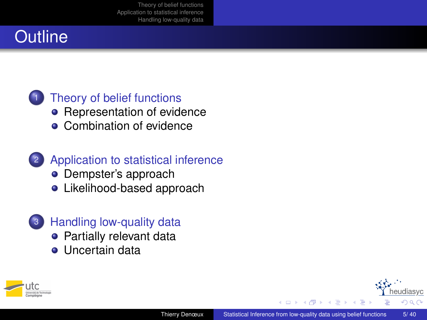## **Outline**

### [Theory of belief functions](#page-5-0)

- [Representation of evidence](#page-8-0)
- [Combination of evidence](#page-13-0)

### <sup>2</sup> [Application to statistical inference](#page-16-0)

- [Dempster's approach](#page-18-0)
- [Likelihood-based approach](#page-23-0)

### <sup>3</sup> [Handling low-quality data](#page-28-0)

- [Partially relevant data](#page-30-0)
- $\bullet$  [Uncertain data](#page-34-0)



diasyc  $\Omega$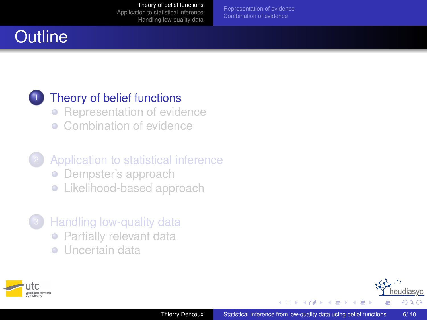[Representation of evidence](#page-8-0)

## **Outline**

#### [Theory of belief functions](#page-5-0)

- [Representation of evidence](#page-8-0)
- [Combination of evidence](#page-13-0)
- [Application to statistical inference](#page-16-0) • [Dempster's approach](#page-18-0) **•** [Likelihood-based approach](#page-23-0)
- [Handling low-quality data](#page-28-0) • [Partially relevant data](#page-30-0)
	- **·** [Uncertain data](#page-34-0)





→ 重 ★  $\sim$ 

 $\sim$ 

<span id="page-5-0"></span>eudiasyc  $QQ$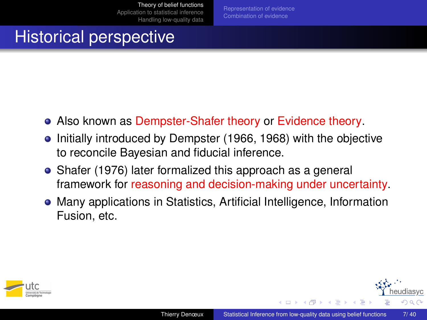[Representation of evidence](#page-8-0) [Combination of evidence](#page-13-0)

## Historical perspective

- Also known as Dempster-Shafer theory or Evidence theory.
- Initially introduced by Dempster (1966, 1968) with the objective to reconcile Bayesian and fiducial inference.
- Shafer (1976) later formalized this approach as a general framework for reasoning and decision-making under uncertainty.
- Many applications in Statistics, Artificial Intelligence, Information Fusion, etc.



医尿管下尿管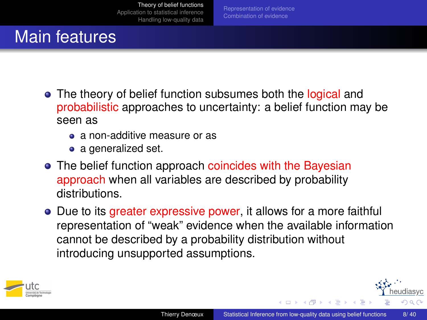[Representation of evidence](#page-8-0)

## Main features

- The theory of belief function subsumes both the logical and probabilistic approaches to uncertainty: a belief function may be seen as
	- a non-additive measure or as
	- a generalized set.
- The belief function approach coincides with the Bayesian approach when all variables are described by probability distributions.
- Due to its greater expressive power, it allows for a more faithful representation of "weak" evidence when the available information cannot be described by a probability distribution without introducing unsupported assumptions.



**(ロ) (母) (ヨ) (**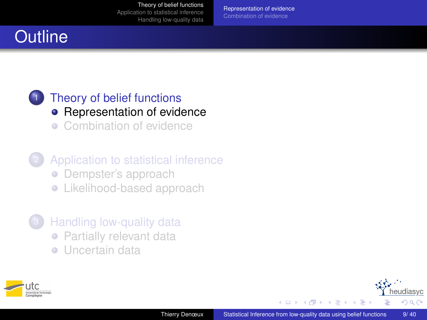[Representation of evidence](#page-8-0)

# **Outline**

#### [Theory of belief functions](#page-5-0) • [Representation of evidence](#page-8-0) • [Combination of evidence](#page-13-0)

- [Application to statistical inference](#page-16-0) • [Dempster's approach](#page-18-0) **•** [Likelihood-based approach](#page-23-0)
- [Handling low-quality data](#page-28-0) • [Partially relevant data](#page-30-0)
	- **·** [Uncertain data](#page-34-0)



→ 重 ★  $\sim$ 

 $\prec$ 

<span id="page-8-0"></span>udiasyc  $QQ$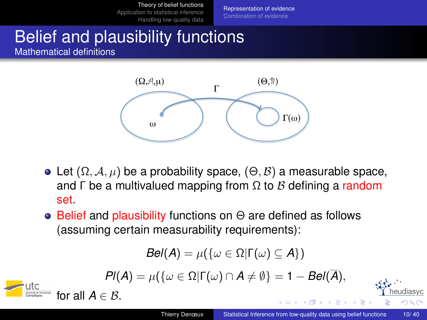[Representation of evidence](#page-8-0) [Combination of evidence](#page-13-0)

# Belief and plausibility functions

Mathematical definitions



- Let  $(\Omega, \mathcal{A}, \mu)$  be a probability space,  $(\Theta, \mathcal{B})$  a measurable space, and  $\Gamma$  be a multivalued mapping from  $\Omega$  to  $\beta$  defining a random set.
- $\bullet$  Belief and plausibility functions on  $\Theta$  are defined as follows (assuming certain measurability requirements):

$$
Bel(A) = \mu(\{\omega \in \Omega | \Gamma(\omega) \subseteq A\})
$$

$$
Pl(A) = \mu(\{\omega \in \Omega | \Gamma(\omega) \cap A \neq \emptyset\} = 1 - Bel(\overline{A}),
$$



E K K

eudiasvc  $209$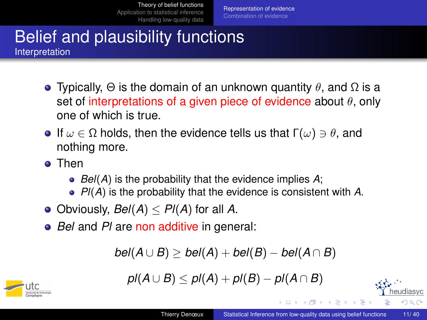[Representation of evidence](#page-8-0)

#### Belief and plausibility functions **Interpretation**

- **•** Typically,  $\Theta$  is the domain of an unknown quantity  $\theta$ , and  $\Omega$  is a set of interpretations of a given piece of evidence about  $\theta$ , only one of which is true.
- **If**  $\omega \in \Omega$  holds, then the evidence tells us that  $\Gamma(\omega) \ni \theta$ , and nothing more.
- **a** Then
	- *Bel*(*A*) is the probability that the evidence implies *A*;
	- *Pl*(*A*) is the probability that the evidence is consistent with *A*.
- $\bullet$  Obviously, *Bel(A)*  $\leq$  *Pl(A)* for all *A*.
- *Bel* and *Pl* are non additive in general:

$$
bel(A \cup B) \geq bel(A) + bel(B) - bel(A \cap B)
$$





( ロ ) ( 何 ) ( ヨ ) ( ヨ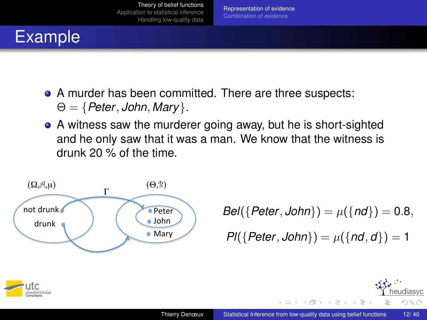

# Example

- A murder has been committed. There are three suspects:
	- $\Theta = \{$  Peter, John, Mary  $\}.$
- A witness saw the murderer going away, but he is short-sighted and he only saw that it was a man. We know that the witness is drunk 20 % of the time.



*Bel*({*Peter*, *John*}) =  $\mu$ ({*nd*}) = 0.8,

*Pl*({*Peter*, *John*}) =  $\mu$ ({*nd*, *d*}) = 1

イロト イ押 トイヨ トイヨ



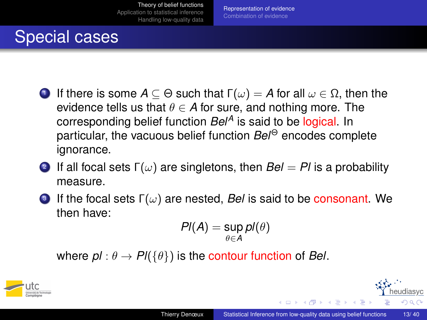[Representation of evidence](#page-8-0) [Combination of evidence](#page-13-0)

## Special cases

- 1 If there is some *A* ⊆ Θ such that Γ(ω) = *A* for all ω ∈ Ω, then the evidence tells us that  $\theta \in A$  for sure, and nothing more. The corresponding belief function *Bel<sup>A</sup>* is said to be logical. In particular, the vacuous belief function *Bel*<sup>Θ</sup> encodes complete ignorance.
- $\bullet$  If all focal sets Γ $(\omega)$  are singletons, then  $Bel=Pl$  is a probability measure.
- 3 If the focal sets  $\Gamma(\omega)$  are nested, *Bel* is said to be consonant. We then have:

$$
PI(A) = \sup_{\theta \in A} pl(\theta)
$$

where  $p \mid \theta \to P \mid (\{\theta\})$  is the contour function of *Bel*.



 $\triangleright$  4  $\equiv$   $\triangleright$  4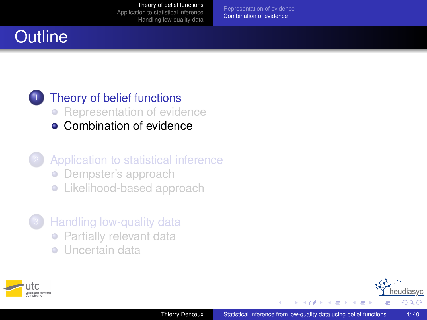[Representation of evidence](#page-8-0) [Combination of evidence](#page-13-0)

## **Outline**

#### [Theory of belief functions](#page-5-0) • [Representation of evidence](#page-8-0) **• [Combination of evidence](#page-13-0)**

- [Application to statistical inference](#page-16-0) • [Dempster's approach](#page-18-0) **•** [Likelihood-based approach](#page-23-0)
- [Handling low-quality data](#page-28-0) • [Partially relevant data](#page-30-0)
	- **·** [Uncertain data](#page-34-0)



化重 经利润

<span id="page-13-0"></span>eudiasyc  $QQ$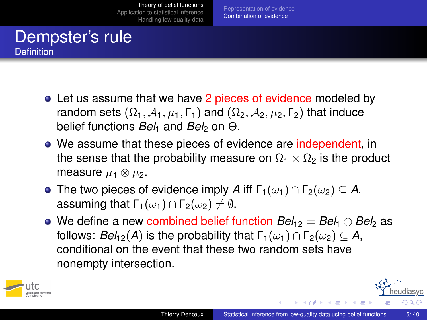[Representation of evidence](#page-8-0) [Combination of evidence](#page-13-0)

### Dempster's rule Definition

- Let us assume that we have 2 pieces of evidence modeled by random sets  $(\Omega_1, \mathcal{A}_1, \mu_1, \Gamma_1)$  and  $(\Omega_2, \mathcal{A}_2, \mu_2, \Gamma_2)$  that induce belief functions *Bel*<sup>1</sup> and *Bel*<sup>2</sup> on Θ.
- We assume that these pieces of evidence are independent, in the sense that the probability measure on  $\Omega_1 \times \Omega_2$  is the product measure  $\mu_1 \otimes \mu_2$ .
- **•** The two pieces of evidence imply *A* iff  $\Gamma_1(\omega_1) \cap \Gamma_2(\omega_2) \subseteq A$ , assuming that  $\Gamma_1(\omega_1) \cap \Gamma_2(\omega_2) \neq \emptyset$ .
- **■** We define a new combined belief function  $Bel_{12} = Bel_1 \oplus Bel_2$  as follows: *Bel*<sub>12</sub>(*A*) is the probability that  $\Gamma_1(\omega_1) \cap \Gamma_2(\omega_2) \subseteq A$ , conditional on the event that these two random sets have nonempty intersection.



イロト イ押 トイヨ トイヨ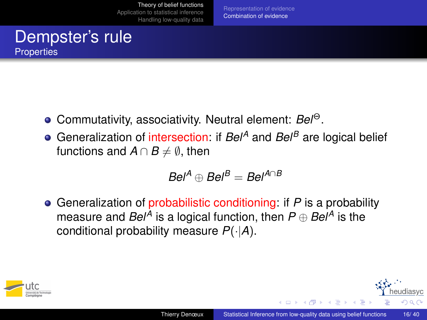[Representation of evidence](#page-8-0) [Combination of evidence](#page-13-0)

### Dempster's rule **Properties**

- Commutativity, associativity. Neutral element: *Bel*<sup>Θ</sup>.
- Generalization of intersection: if *Bel<sup>A</sup>* and *Bel<sup>B</sup>* are logical belief functions and  $A \cap B \neq \emptyset$ , then

$$
Bel^A \oplus Bel^B = Bel^{A \cap B}
$$

Generalization of probabilistic conditioning: if *P* is a probability measure and *Bel<sup>A</sup>* is a logical function, then *P* ⊕ *Bel<sup>A</sup>* is the conditional probability measure *P*(·|*A*).



**(ロ) (母) (ヨ) (**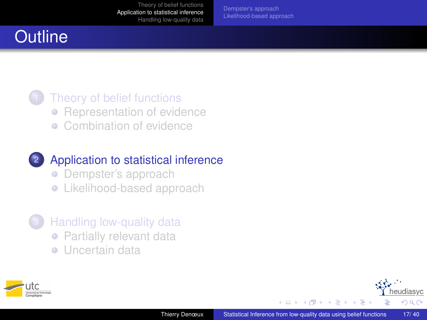[Dempster's approach](#page-18-0) [Likelihood-based approach](#page-23-0)

## **Outline**

#### [Theory of belief functions](#page-5-0) • [Representation of evidence](#page-8-0) **[Combination of evidence](#page-13-0)**

### <sup>2</sup> [Application to statistical inference](#page-16-0)

- [Dempster's approach](#page-18-0)
- **•** [Likelihood-based approach](#page-23-0)
- [Handling low-quality data](#page-28-0) • [Partially relevant data](#page-30-0)
	- **·** [Uncertain data](#page-34-0)



化重新润滑

 $\sim$ 

<span id="page-16-0"></span>eudiasyc  $290$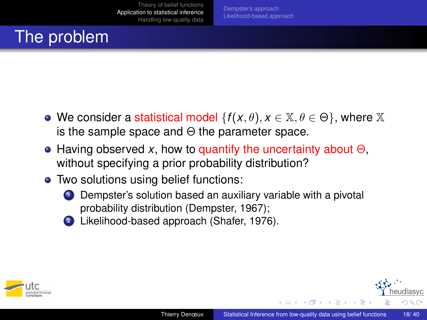# The problem

- We consider a statistical model  $\{f(x, \theta), x \in \mathbb{X}, \theta \in \Theta\}$ , where X is the sample space and  $\Theta$  the parameter space.
- Having observed *x*, how to quantify the uncertainty about Θ, without specifying a prior probability distribution?
- Two solutions using belief functions:
	-

**1** Dempster's solution based an auxiliary variable with a pivotal probability distribution (Dempster, 1967);

<sup>2</sup> Likelihood-based approach (Shafer, 1976).



 $\left\{ \left\vert \left\langle \left\langle \left\langle \mathbf{q} \right\rangle \right\rangle \right\rangle \right\vert \left\langle \mathbf{q} \right\rangle \right\vert \left\langle \mathbf{q} \right\rangle \right\vert \left\langle \mathbf{q} \right\rangle \right\}$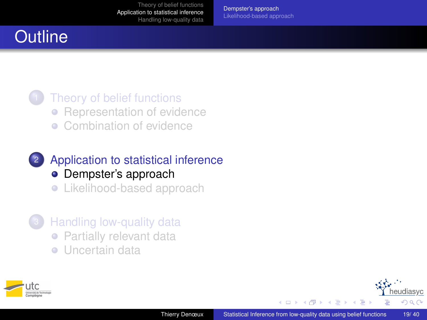[Dempster's approach](#page-18-0) [Likelihood-based approach](#page-23-0)

## **Outline**

#### [Theory of belief functions](#page-5-0) • [Representation of evidence](#page-8-0) **[Combination of evidence](#page-13-0)**

### <sup>2</sup> [Application to statistical inference](#page-16-0) • [Dempster's approach](#page-18-0)

**•** [Likelihood-based approach](#page-23-0)

- [Handling low-quality data](#page-28-0) • [Partially relevant data](#page-30-0)
	- **·** [Uncertain data](#page-34-0)





→ 重 ★  $\left( 1\right)$  <span id="page-18-0"></span>eudiasvc つへへ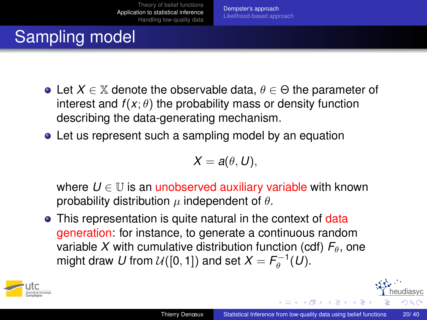[Dempster's approach](#page-18-0) [Likelihood-based approach](#page-23-0)

# Sampling model

- Let  $X \in \mathbb{X}$  denote the observable data,  $\theta \in \Theta$  the parameter of interest and  $f(x; \theta)$  the probability mass or density function describing the data-generating mechanism.
- Let us represent such a sampling model by an equation

$$
X=a(\theta,U),
$$

where  $U \in \mathbb{U}$  is an unobserved auxiliary variable with known probability distribution  $\mu$  independent of  $\theta$ .

• This representation is quite natural in the context of data generation: for instance, to generate a continuous random variable X with cumulative distribution function (cdf)  $F_{\theta}$ , one might draw  $U$  from  $\mathcal{U}([0,1])$  and set  $X = \mathcal{F}_{\theta}^{-1}(U).$ 



( ロ ) ( 何 ) ( ヨ ) ( ヨ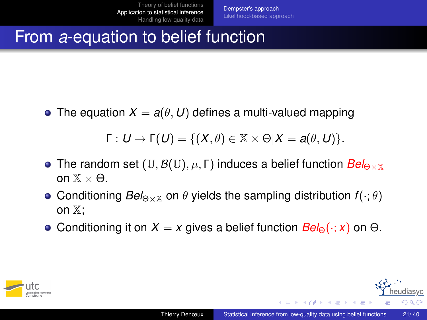## From *a*-equation to belief function

• The equation  $X = a(\theta, U)$  defines a multi-valued mapping

$$
\Gamma: U \to \Gamma(U) = \{ (X, \theta) \in \mathbb{X} \times \Theta | X = a(\theta, U) \}.
$$

- **•** The random set  $(\mathbb{U}, \mathcal{B}(\mathbb{U}), \mu, \Gamma)$  induces a belief function  $Bel_{\Theta \times \mathbb{X}}$ on  $\mathbb{X} \times \Theta$ .
- **Conditioning**  $Bel_{\theta \times \mathbb{X}}$  **on**  $\theta$  **yields the sampling distribution**  $f(\cdot; \theta)$ on X;
- **•** Conditioning it on  $X = x$  gives a belief function  $Bel_{\Theta}(\cdot; x)$  on  $\Theta$ .



 $\rightarrow$   $\equiv$   $\rightarrow$   $\rightarrow$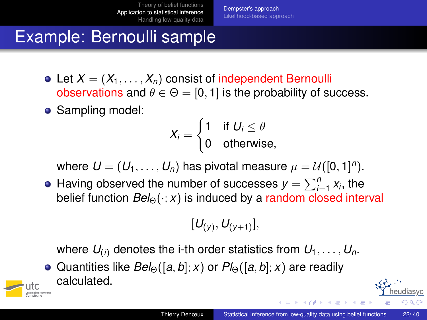[Dempster's approach](#page-18-0) [Likelihood-based approach](#page-23-0)

## Example: Bernoulli sample

- Let  $X = (X_1, \ldots, X_n)$  consist of independent Bernoulli observations and  $\theta \in \Theta = [0, 1]$  is the probability of success.
- Sampling model:

$$
X_i = \begin{cases} 1 & \text{if } U_i \leq \theta \\ 0 & \text{otherwise,} \end{cases}
$$

where  $\pmb{U} = (\pmb{U}_1, \dots, \pmb{U}_n)$  has pivotal measure  $\mu = \mathcal{U}([0,1]^n).$ 

Having observed the number of successes  $y = \sum_{i=1}^{n} x_i$ , the belief function  $Bel_{\Theta}(\cdot; x)$  is induced by a random closed interval

$$
[U_{(y)},U_{(y+1)}],\quad
$$

where  $U_{(i)}$  denotes the i-th order statistics from  $U_1, \ldots, U_n$ .

**■** Quantities like *Bel*<sub>Θ</sub>([*a*, *b*]; *x*) or  $Pl_{\Theta}([a, b]; x)$  are readily calculated.



liasvc  $\Omega$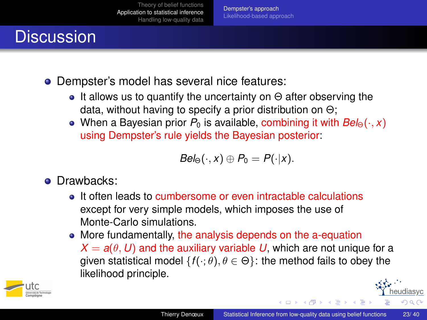[Dempster's approach](#page-18-0) [Likelihood-based approach](#page-23-0)

# **Discussion**

- Dempster's model has several nice features:
	- $\bullet$  It allows us to quantify the uncertainty on  $\Theta$  after observing the data, without having to specify a prior distribution on Θ;
	- When a Bayesian prior  $P_0$  is available, combining it with  $Bel_{\Theta}(\cdot, x)$ using Dempster's rule yields the Bayesian posterior:

$$
Bel_{\Theta}(\cdot, x) \oplus P_0 = P(\cdot | x).
$$

- Drawbacks:
	- It often leads to cumbersome or even intractable calculations except for very simple models, which imposes the use of Monte-Carlo simulations.
	- More fundamentally, the analysis depends on the a-equation  $X = a(\theta, U)$  and the auxiliary variable U, which are not unique for a given statistical model  $\{f(\cdot;\theta), \theta \in \Theta\}$ : the method fails to obey the likelihood principle.



( ロ ) ( 何 ) ( ヨ ) ( ヨ

diasvc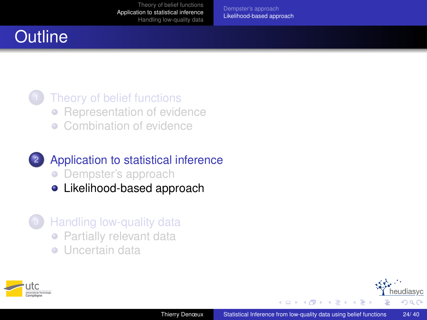[Dempster's approach](#page-18-0) [Likelihood-based approach](#page-23-0)

## **Outline**

#### [Theory of belief functions](#page-5-0) • [Representation of evidence](#page-8-0) **[Combination of evidence](#page-13-0)**

### <sup>2</sup> [Application to statistical inference](#page-16-0) • [Dempster's approach](#page-18-0)

- **·** [Likelihood-based approach](#page-23-0)
- [Handling low-quality data](#page-28-0) • [Partially relevant data](#page-30-0)
	- **·** [Uncertain data](#page-34-0)



→ 重 ★  $\sim$ 

 $\sim$ 

<span id="page-23-0"></span>eudiasyc  $QQ$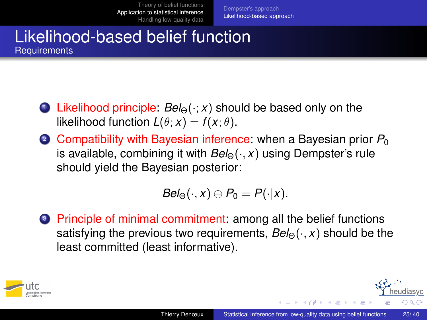[Dempster's approach](#page-18-0) [Likelihood-based approach](#page-23-0)

#### Likelihood-based belief function **Requirements**

- <sup>1</sup> Likelihood principle: *Bel*Θ(·; *x*) should be based only on the likelihood function  $L(\theta; x) = f(x; \theta)$ .
- 2 Compatibility with Bayesian inference: when a Bayesian prior  $P_0$ is available, combining it with  $Bel_{\Theta}(\cdot, x)$  using Dempster's rule should yield the Bayesian posterior:

$$
Bel_{\Theta}(\cdot, x) \oplus P_0 = P(\cdot | x).
$$

<sup>3</sup> Principle of minimal commitment: among all the belief functions satisfying the previous two requirements,  $Bel_{\Theta}(\cdot, x)$  should be the least committed (least informative).



( ロ ) ( 何 ) ( ヨ ) ( ヨ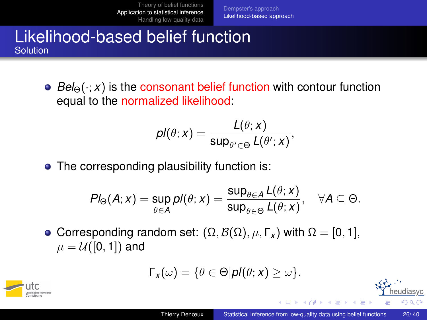[Dempster's approach](#page-18-0) [Likelihood-based approach](#page-23-0)

#### Likelihood-based belief function Solution

**•** Bel<sub>Θ</sub>(·; *x*) is the consonant belief function with contour function equal to the normalized likelihood:

$$
\rho I(\theta;x)=\frac{L(\theta;x)}{\sup_{\theta'\in\Theta}L(\theta';x)},
$$

• The corresponding plausibility function is:

$$
Pl_{\Theta}(A; x) = \sup_{\theta \in A} pl(\theta; x) = \frac{\sup_{\theta \in A} L(\theta; x)}{\sup_{\theta \in \Theta} L(\theta; x)}, \quad \forall A \subseteq \Theta.
$$

• Corresponding random set:  $(Ω, B(Ω), μ, Γ<sub>x</sub>)$  with  $Ω = [0, 1]$ ,  $\mu = \mathcal{U}([0,1])$  and

$$
\Gamma_x(\omega) = \{\theta \in \Theta | \mathbf{p} l(\theta; x) \geq \omega\}.
$$



( ロ ) ( 何 ) ( ヨ ) ( ヨ

diasyc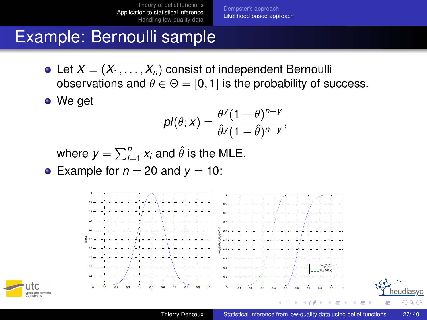[Dempster's approach](#page-18-0) [Likelihood-based approach](#page-23-0)

### Example: Bernoulli sample

• Let  $X = (X_1, \ldots, X_n)$  consist of independent Bernoulli observations and  $\theta \in \Theta = [0, 1]$  is the probability of success.

We get

$$
pl(\theta; x) = \frac{\theta^y (1-\theta)^{n-y}}{\hat{\theta}^y (1-\hat{\theta})^{n-y}},
$$

where  $y = \sum_{i=1}^n x_i$  and  $\hat{\theta}$  is the MLE.

• Example for  $n = 20$  and  $y = 10$ :



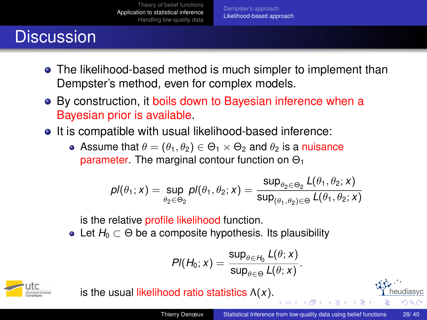[Dempster's approach](#page-18-0) [Likelihood-based approach](#page-23-0)

## **Discussion**

- The likelihood-based method is much simpler to implement than Dempster's method, even for complex models.
- By construction, it boils down to Bayesian inference when a Bayesian prior is available.
- It is compatible with usual likelihood-based inference:
	- Assume that  $\theta = (\theta_1, \theta_2) \in \Theta_1 \times \Theta_2$  and  $\theta_2$  is a nuisance parameter. The marginal contour function on  $\Theta_1$

$$
\textit{pl}(\theta_1; x) = \sup_{\theta_2 \in \Theta_2} \textit{pl}(\theta_1, \theta_2; x) = \frac{\sup_{\theta_2 \in \Theta_2} L(\theta_1, \theta_2; x)}{\sup_{(\theta_1, \theta_2) \in \Theta} L(\theta_1, \theta_2; x)}
$$

is the relative profile likelihood function.

• Let  $H_0 \subset \Theta$  be a composite hypothesis. Its plausibility

$$
PI(H_0; x) = \frac{\sup_{\theta \in H_0} L(\theta; x)}{\sup_{\theta \in \Theta} L(\theta; x)}.
$$



is the usual likelihood ratio statistics Λ(*x*).

diasvc  $\Omega$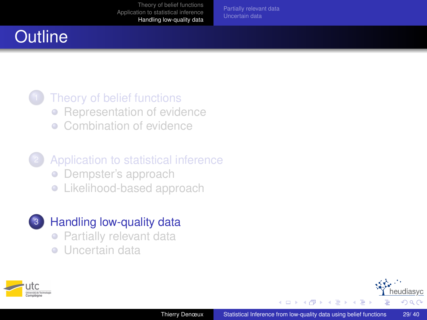[Partially relevant data](#page-30-0)

## **Outline**

### [Theory of belief functions](#page-5-0) • [Representation of evidence](#page-8-0) **[Combination of evidence](#page-13-0)**

- [Application to statistical inference](#page-16-0) • [Dempster's approach](#page-18-0) **•** [Likelihood-based approach](#page-23-0)
- <sup>3</sup> [Handling low-quality data](#page-28-0)
	- [Partially relevant data](#page-30-0)
	- **·** [Uncertain data](#page-34-0)



→ 重 ★  $\sim$  <span id="page-28-0"></span>eudiasyc つへへ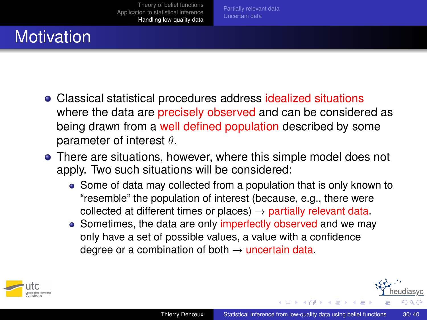# **Motivation**

- Classical statistical procedures address idealized situations where the data are precisely observed and can be considered as being drawn from a well defined population described by some parameter of interest  $\theta$ .
- There are situations, however, where this simple model does not apply. Two such situations will be considered:
	- Some of data may collected from a population that is only known to "resemble" the population of interest (because, e.g., there were collected at different times or places)  $\rightarrow$  partially relevant data.
	- Sometimes, the data are only imperfectly observed and we may only have a set of possible values, a value with a confidence degree or a combination of both  $\rightarrow$  uncertain data.



医尿管下尿管

diasyc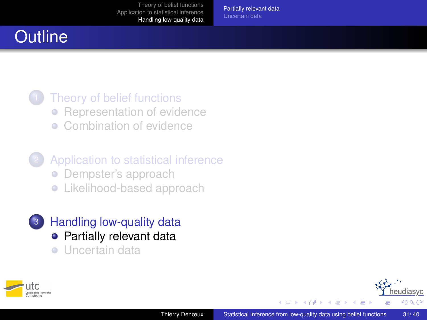[Partially relevant data](#page-30-0)

## **Outline**

### [Theory of belief functions](#page-5-0) • [Representation of evidence](#page-8-0) **[Combination of evidence](#page-13-0)**

- [Application to statistical inference](#page-16-0) • [Dempster's approach](#page-18-0) **•** [Likelihood-based approach](#page-23-0)
- <sup>3</sup> [Handling low-quality data](#page-28-0) **•** [Partially relevant data](#page-30-0)
	- **·** [Uncertain data](#page-34-0)



<span id="page-30-0"></span>舌  $\prec$  $\sim$ ×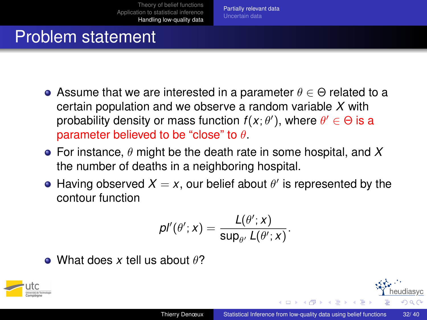## Problem statement

- Assume that we are interested in a parameter  $\theta \in \Theta$  related to a certain population and we observe a random variable *X* with probability density or mass function  $f(x; \theta')$ , where  $\theta' \in \Theta$  is a parameter believed to be "close" to  $\theta$ .
- For instance, θ might be the death rate in some hospital, and *X* the number of deaths in a neighboring hospital.
- Having observed  $X = x$ , our belief about  $\theta'$  is represented by the contour function

$$
\rho{\rm I}'({\theta^{\prime}}; x) = \frac{{\rm L}({\theta^{\prime}}; x)}{\sup_{\theta^{\prime}}{\rm L}({\theta^{\prime}}; x)}.
$$

• What does x tell us about  $\theta$ ?



 $\mathbb{R}^n \times \mathbb{R}^n \rightarrow \mathbb{R}^n \times \mathbb{R}^n$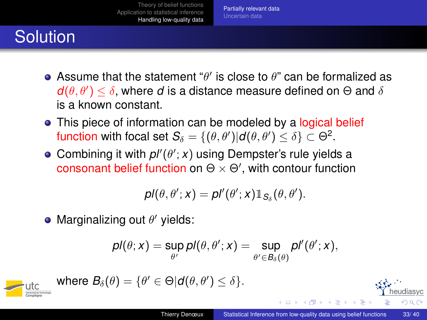# **Solution**

- Assume that the statement " $\theta'$  is close to  $\theta$ " can be formalized as  $d(\theta, \theta') \leq \delta$ , where *d* is a distance measure defined on  $\Theta$  and  $\delta$ is a known constant.
- This piece of information can be modeled by a logical belief function with focal set  $\mathcal{S}_\delta = \{(\theta, \theta')| \textit{d}(\theta, \theta') \leq \delta\} \subset \Theta^2.$
- Combining it with  $p''(\theta'; x)$  using Dempster's rule yields a consonant belief function on  $\Theta \times \Theta'$ , with contour function

$$
pl(\theta, \theta'; x) = pl'(\theta'; x) \mathbb{1}_{S_{\delta}}(\theta, \theta').
$$

Marginalizing out  $\theta'$  yields:

$$
pl(\theta; x) = \sup_{\theta'} pl(\theta, \theta'; x) = \sup_{\theta' \in B_{\delta}(\theta)} pl'(\theta'; x),
$$

$$
\qquad \qquad \underbrace{\text{utc}}_{\overline{\text{times}}} \text{ where } B_{\delta}(\theta) = \{\theta' \in \Theta | d(\theta, \theta') \leq \delta\}.
$$

٠

14 B K 4 B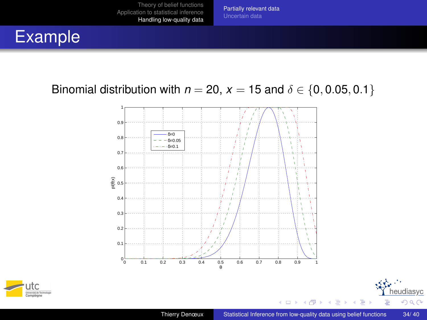[Partially relevant data](#page-30-0)

## Example

#### Binomial distribution with  $n = 20$ ,  $x = 15$  and  $\delta \in \{0, 0.05, 0.1\}$





 $\mathbf{K}$ × heudiasyc

 $299$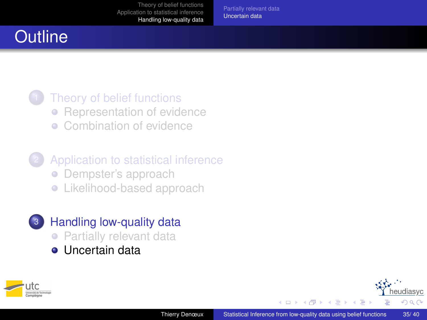[Partially relevant data](#page-30-0) [Uncertain data](#page-34-0)

## **Outline**

### [Theory of belief functions](#page-5-0) • [Representation of evidence](#page-8-0) **[Combination of evidence](#page-13-0)**

- [Application to statistical inference](#page-16-0) • [Dempster's approach](#page-18-0) **•** [Likelihood-based approach](#page-23-0)
- <sup>3</sup> [Handling low-quality data](#page-28-0) **• [Partially relevant data](#page-30-0)**  $\bullet$  [Uncertain data](#page-34-0)



<span id="page-34-0"></span>→ 重 ★  $\sim$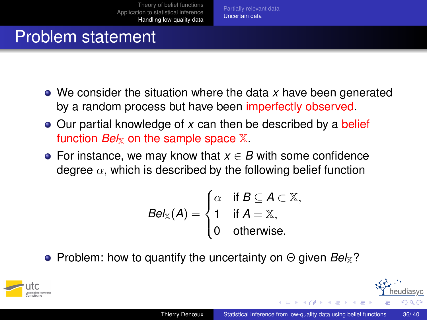### Problem statement

- We consider the situation where the data *x* have been generated by a random process but have been imperfectly observed.
- Our partial knowledge of x can then be described by a belief function  $Bek<sub>x</sub>$  on the sample space  $X$ .
- For instance, we may know that  $x \in B$  with some confidence degree  $\alpha$ , which is described by the following belief function

$$
Bel_{\mathbb{X}}(A) = \begin{cases} \alpha & \text{if } B \subseteq A \subset \mathbb{X}, \\ 1 & \text{if } A = \mathbb{X}, \\ 0 & \text{otherwise.} \end{cases}
$$

**•** Problem: how to quantify the uncertainty on Θ given *Bel*<sub>X</sub>?



- イヨ ト イ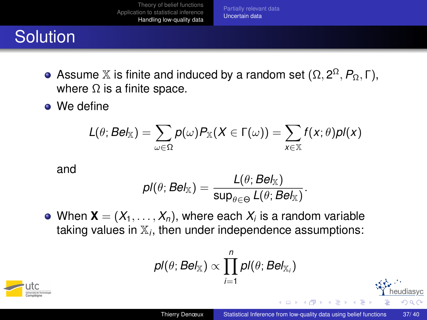[Partially relevant data](#page-30-0) [Uncertain data](#page-34-0)

# **Solution**

- Assume  $\mathbb X$  is finite and induced by a random set  $(\Omega, 2^{\Omega}, P_{\Omega}, \Gamma),$ where  $\Omega$  is a finite space.
- We define

$$
L(\theta; \mathsf{Bel}_{\mathbb{X}}) = \sum_{\omega \in \Omega} p(\omega) P_{\mathbb{X}}(X \in \Gamma(\omega)) = \sum_{x \in \mathbb{X}} f(x; \theta) p\mathsf{I}(x)
$$

and

$$
\textit{pl}(\theta; \textit{Bel}_{\mathbb{X}}) = \frac{\textit{L}(\theta; \textit{Bel}_{\mathbb{X}})}{\textsf{sup}_{\theta \in \Theta} \textit{L}(\theta; \textit{Bel}_{\mathbb{X}})}.
$$

When  $\mathbf{X}=(X_1,\ldots,X_n),$  where each  $X_i$  is a random variable taking values in X*<sup>i</sup>* , then under independence assumptions:

$$
\textit{pl}(\theta;\textit{Bel}_{\mathbb{X}}) \propto \prod_{i=1}^n \textit{pl}(\theta;\textit{Bel}_{\mathbb{X}_i})
$$



 $\blacktriangleleft$   $\Box$   $\Box$   $\blacktriangleright$   $\blacktriangleleft$   $\Box$   $\blacktriangleright$   $\blacktriangleleft$ 

diasyc

つへへ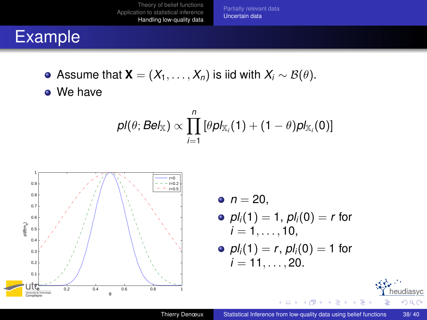[Partially relevant data](#page-30-0) [Uncertain data](#page-34-0)

## Example

- $\bullet$  Assume that **X** = ( $X_1, \ldots, X_n$ ) is iid with  $X_i \sim B(\theta)$ .
- We have

$$
\textit{pl}(\theta; \textit{Bel}_{\mathbb{X}}) \propto \prod_{i=1}^n \left[ \theta \textit{pl}_{\mathbb{X}_i}(1) + (1-\theta) \textit{pl}_{\mathbb{X}_i}(0) \right]
$$



•  $n = 20$ ,

• 
$$
pl_i(1) = 1
$$
,  $pl_i(0) = r$  for   
 $i = 1, ..., 10$ ,

• 
$$
pI_i(1) = r
$$
,  $pI_i(0) = 1$  for   
 $i = 11, ..., 20$ .

 $\rightarrow$   $\Rightarrow$   $\rightarrow$  $\mathcal{A}$ B

D.

4日 8 ∢ 向 heudiasyc

<span id="page-37-0"></span> $299$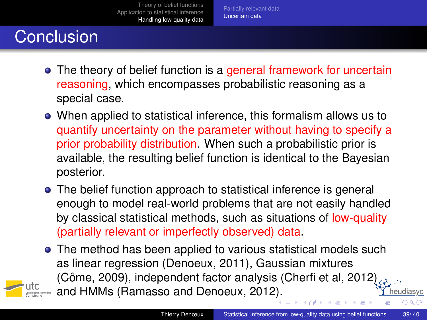[Partially relevant data](#page-30-0) [Uncertain data](#page-34-0)

# **Conclusion**

- The theory of belief function is a general framework for uncertain reasoning, which encompasses probabilistic reasoning as a special case.
- When applied to statistical inference, this formalism allows us to quantify uncertainty on the parameter without having to specify a prior probability distribution. When such a probabilistic prior is available, the resulting belief function is identical to the Bayesian posterior.
- The belief function approach to statistical inference is general enough to model real-world problems that are not easily handled by classical statistical methods, such as situations of low-quality (partially relevant or imperfectly observed) data.
- The method has been applied to various statistical models such as linear regression (Denoeux, 2011), Gaussian mixtures (Côme, 2009), independent factor analysis (Cherfi et al, 2012) and HMMs (Ramasso and Denoeux, 201[2\).](#page-37-0) eeudiasyc